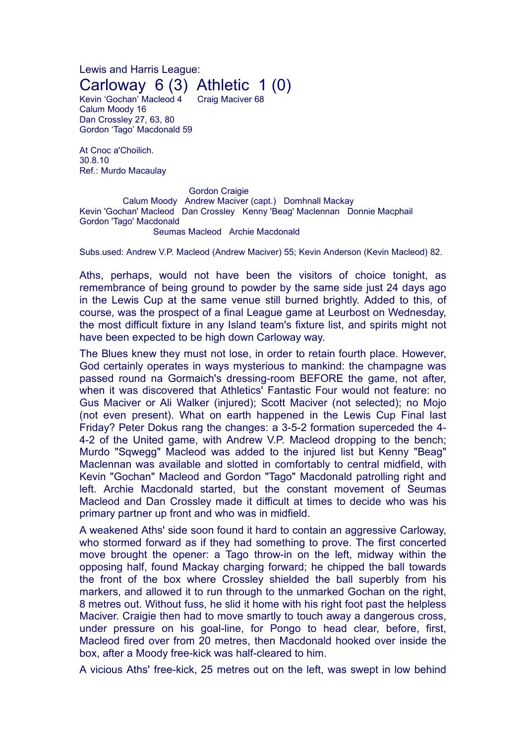Lewis and Harris League: Carloway 6 (3) Athletic 1 (0) Kevin 'Gochan' Macleod 4 Craig Maciver 68

Calum Moody 16 Dan Crossley 27, 63, 80 Gordon 'Tago' Macdonald 59

At Cnoc a'Choilich. 30.8.10 Ref.: Murdo Macaulay

Gordon Craigie Calum Moody Andrew Maciver (capt.) Domhnall Mackay Kevin 'Gochan' Macleod Dan Crossley Kenny 'Beag' Maclennan Donnie Macphail Gordon 'Tago' Macdonald Seumas Macleod Archie Macdonald

Subs.used: Andrew V.P. Macleod (Andrew Maciver) 55; Kevin Anderson (Kevin Macleod) 82.

Aths, perhaps, would not have been the visitors of choice tonight, as remembrance of being ground to powder by the same side just 24 days ago in the Lewis Cup at the same venue still burned brightly. Added to this, of course, was the prospect of a final League game at Leurbost on Wednesday, the most difficult fixture in any Island team's fixture list, and spirits might not have been expected to be high down Carloway way.

The Blues knew they must not lose, in order to retain fourth place. However, God certainly operates in ways mysterious to mankind: the champagne was passed round na Gormaich's dressing-room BEFORE the game, not after, when it was discovered that Athletics' Fantastic Four would not feature: no Gus Maciver or Ali Walker (injured); Scott Maciver (not selected); no Mojo (not even present). What on earth happened in the Lewis Cup Final last Friday? Peter Dokus rang the changes: a 3-5-2 formation superceded the 4- 4-2 of the United game, with Andrew V.P. Macleod dropping to the bench; Murdo "Sqwegg" Macleod was added to the injured list but Kenny "Beag" Maclennan was available and slotted in comfortably to central midfield, with Kevin "Gochan" Macleod and Gordon "Tago" Macdonald patrolling right and left. Archie Macdonald started, but the constant movement of Seumas Macleod and Dan Crossley made it difficult at times to decide who was his primary partner up front and who was in midfield.

A weakened Aths' side soon found it hard to contain an aggressive Carloway, who stormed forward as if they had something to prove. The first concerted move brought the opener: a Tago throw-in on the left, midway within the opposing half, found Mackay charging forward; he chipped the ball towards the front of the box where Crossley shielded the ball superbly from his markers, and allowed it to run through to the unmarked Gochan on the right, 8 metres out. Without fuss, he slid it home with his right foot past the helpless Maciver. Craigie then had to move smartly to touch away a dangerous cross, under pressure on his goal-line, for Pongo to head clear, before, first, Macleod fired over from 20 metres, then Macdonald hooked over inside the box, after a Moody free-kick was half-cleared to him.

A vicious Aths' free-kick, 25 metres out on the left, was swept in low behind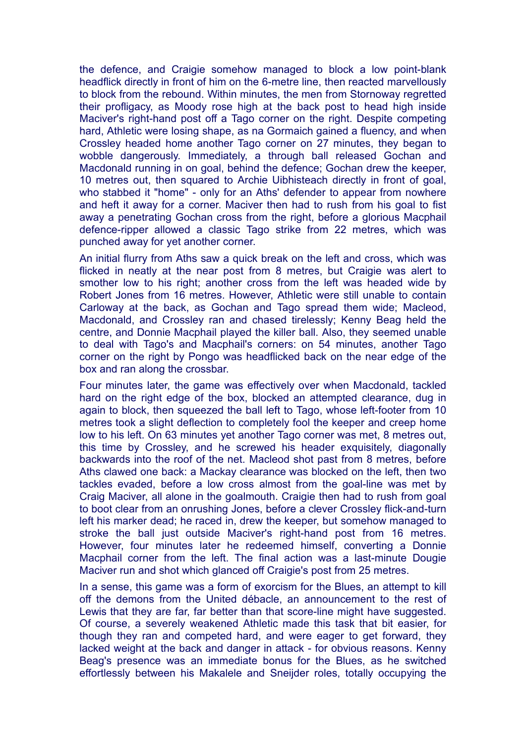the defence, and Craigie somehow managed to block a low point-blank headflick directly in front of him on the 6-metre line, then reacted marvellously to block from the rebound. Within minutes, the men from Stornoway regretted their profligacy, as Moody rose high at the back post to head high inside Maciver's right-hand post off a Tago corner on the right. Despite competing hard, Athletic were losing shape, as na Gormaich gained a fluency, and when Crossley headed home another Tago corner on 27 minutes, they began to wobble dangerously. Immediately, a through ball released Gochan and Macdonald running in on goal, behind the defence; Gochan drew the keeper, 10 metres out, then squared to Archie Uibhisteach directly in front of goal, who stabbed it "home" - only for an Aths' defender to appear from nowhere and heft it away for a corner. Maciver then had to rush from his goal to fist away a penetrating Gochan cross from the right, before a glorious Macphail defence-ripper allowed a classic Tago strike from 22 metres, which was punched away for yet another corner.

An initial flurry from Aths saw a quick break on the left and cross, which was flicked in neatly at the near post from 8 metres, but Craigie was alert to smother low to his right; another cross from the left was headed wide by Robert Jones from 16 metres. However, Athletic were still unable to contain Carloway at the back, as Gochan and Tago spread them wide; Macleod, Macdonald, and Crossley ran and chased tirelessly; Kenny Beag held the centre, and Donnie Macphail played the killer ball. Also, they seemed unable to deal with Tago's and Macphail's corners: on 54 minutes, another Tago corner on the right by Pongo was headflicked back on the near edge of the box and ran along the crossbar.

Four minutes later, the game was effectively over when Macdonald, tackled hard on the right edge of the box, blocked an attempted clearance, dug in again to block, then squeezed the ball left to Tago, whose left-footer from 10 metres took a slight deflection to completely fool the keeper and creep home low to his left. On 63 minutes yet another Tago corner was met, 8 metres out, this time by Crossley, and he screwed his header exquisitely, diagonally backwards into the roof of the net. Macleod shot past from 8 metres, before Aths clawed one back: a Mackay clearance was blocked on the left, then two tackles evaded, before a low cross almost from the goal-line was met by Craig Maciver, all alone in the goalmouth. Craigie then had to rush from goal to boot clear from an onrushing Jones, before a clever Crossley flick-and-turn left his marker dead; he raced in, drew the keeper, but somehow managed to stroke the ball just outside Maciver's right-hand post from 16 metres. However, four minutes later he redeemed himself, converting a Donnie Macphail corner from the left. The final action was a last-minute Dougie Maciver run and shot which glanced off Craigie's post from 25 metres.

In a sense, this game was a form of exorcism for the Blues, an attempt to kill off the demons from the United débacle, an announcement to the rest of Lewis that they are far, far better than that score-line might have suggested. Of course, a severely weakened Athletic made this task that bit easier, for though they ran and competed hard, and were eager to get forward, they lacked weight at the back and danger in attack - for obvious reasons. Kenny Beag's presence was an immediate bonus for the Blues, as he switched effortlessly between his Makalele and Sneijder roles, totally occupying the